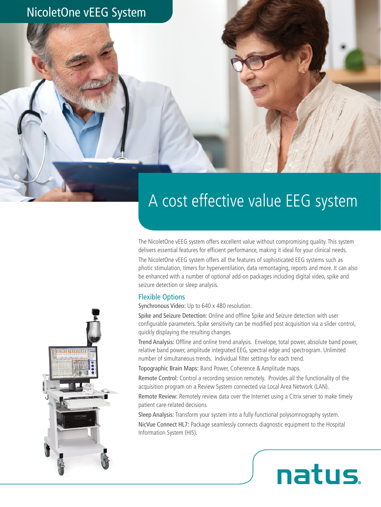

# A cost effective value EEG system

The NicoletOne vEEG system offers excellent value without compromising quality. This system delivers essential features for efficient performance, making it ideal for your clinical needs.

The NicoletOne vEEG system offers all the features of sophisticated EEG systems such as photic stimulation, timers for hyperventilation, data remontaging, reports and more. It can also be enhanced with a number of optional add-on packages including digital video, spike and seizure detection or sleep analysis.

#### Flexible Options

Synchronous Video: Up to 640 x 480 resolution.

Spike and Seizure Detection: Online and offline Spike and Seizure detection with user configurable parameters. Spike sensitivity can be modified post acquisition via a slider control, quickly displaying the resulting changes.

Trend Analysis: Offline and online trend analysis. Envelope, total power, absolute band power, relative band power, amplitude integrated EEG, spectral edge and spectrogram. Unlimited number of simultaneous trends. Individual filter settings for each trend.

Topographic Brain Maps: Band Power, Coherence & Amplitude maps.

Remote Control: Control a recording session remotely. Provides all the functionality of the acquisition program on a Review System connected via Local Area Network (LAN).

Remote Review: Remotely review data over the Internet using a Citrix server to make timely patient care-related decisions

Sleep Analysis: Transform your system into a fully-functional polysomnography system.

NicVue Connect HL7: Package seamlessly connects diagnostic equipment to the Hospital Information System (HIS).